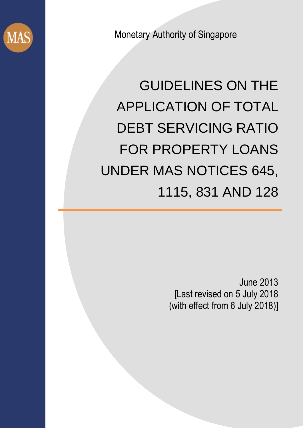

Monetary Authority of Singapore

# GUIDELINES ON THE APPLICATION OF TOTAL DEBT SERVICING RATIO FOR PROPERTY LOANS UNDER MAS NOTICES 645, 1115, 831 AND 128

June 2013 [Last revised on 5 July 2018 (with effect from 6 July 2018)]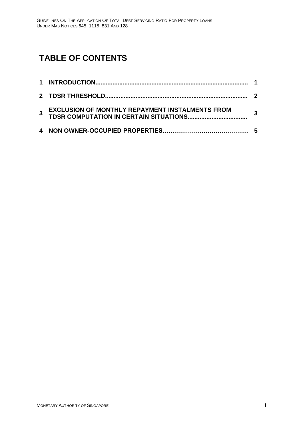## **TABLE OF CONTENTS**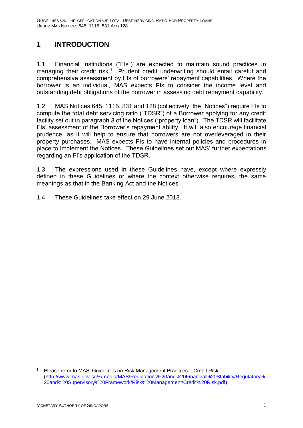### **1 INTRODUCTION**

1.1 Financial Institutions ("FIs") are expected to maintain sound practices in managing their credit risk.<sup>1</sup> Prudent credit underwriting should entail careful and comprehensive assessment by FIs of borrowers' repayment capabilities. Where the borrower is an individual, MAS expects FIs to consider the income level and outstanding debt obligations of the borrower in assessing debt repayment capability.

1.2 MAS Notices 645, 1115, 831 and 128 (collectively, the "Notices") require FIs to compute the total debt servicing ratio ("TDSR") of a Borrower applying for any credit facility set out in paragraph 3 of the Notices ("property loan"). The TDSR will facilitate FIs' assessment of the Borrower's repayment ability. It will also encourage financial prudence, as it will help to ensure that borrowers are not overleveraged in their property purchases. MAS expects FIs to have internal policies and procedures in place to implement the Notices. These Guidelines set out MAS' further expectations regarding an FI's application of the TDSR.

1.3 The expressions used in these Guidelines have, except where expressly defined in these Guidelines or where the context otherwise requires, the same meanings as that in the Banking Act and the Notices.

1.4 These Guidelines take effect on 29 June 2013.

<sup>1</sup> <sup>1</sup> Please refer to MAS' Guidelines on Risk Management Practices – Credit Risk [\(http://www.mas.gov.sg/~/media/MAS/Regulations%20and%20Financial%20Stability/Regulatory%](http://www.mas.gov.sg/~/media/MAS/Regulations%20and%20Financial%20Stability/Regulatory%20and%20Supervisory%20Framework/Risk%20Management/Credit%20Risk.pdf) [20and%20Supervisory%20Framework/Risk%20Management/Credit%20Risk.pdf\)](http://www.mas.gov.sg/~/media/MAS/Regulations%20and%20Financial%20Stability/Regulatory%20and%20Supervisory%20Framework/Risk%20Management/Credit%20Risk.pdf).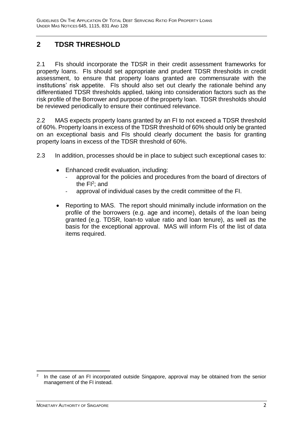### **2 TDSR THRESHOLD**

2.1 FIs should incorporate the TDSR in their credit assessment frameworks for property loans. FIs should set appropriate and prudent TDSR thresholds in credit assessment, to ensure that property loans granted are commensurate with the institutions' risk appetite. FIs should also set out clearly the rationale behind any differentiated TDSR thresholds applied, taking into consideration factors such as the risk profile of the Borrower and purpose of the property loan. TDSR thresholds should be reviewed periodically to ensure their continued relevance.

2.2 MAS expects property loans granted by an FI to not exceed a TDSR threshold of 60%. Property loans in excess of the TDSR threshold of 60% should only be granted on an exceptional basis and FIs should clearly document the basis for granting property loans in excess of the TDSR threshold of 60%.

- 2.3 In addition, processes should be in place to subject such exceptional cases to:
	- Enhanced credit evaluation, including:
		- approval for the policies and procedures from the board of directors of the  $FI^2$ ; and
		- approval of individual cases by the credit committee of the FI.
	- Reporting to MAS. The report should minimally include information on the profile of the borrowers (e.g. age and income), details of the loan being granted (e.g. TDSR, loan-to value ratio and loan tenure), as well as the basis for the exceptional approval. MAS will inform FIs of the list of data items required.

**.** 

<sup>2</sup> In the case of an FI incorporated outside Singapore, approval may be obtained from the senior management of the FI instead.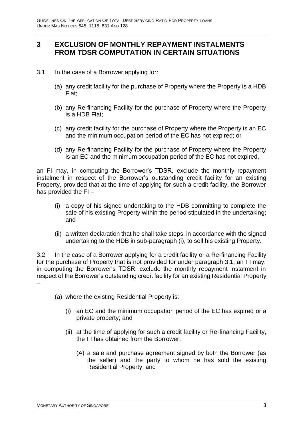#### **3 EXCLUSION OF MONTHLY REPAYMENT INSTALMENTS FROM TDSR COMPUTATION IN CERTAIN SITUATIONS**

- 3.1 In the case of a Borrower applying for:
	- (a) any credit facility for the purchase of Property where the Property is a HDB Flat;
	- (b) any Re-financing Facility for the purchase of Property where the Property is a HDB Flat;
	- (c) any credit facility for the purchase of Property where the Property is an EC and the minimum occupation period of the EC has not expired; or
	- (d) any Re-financing Facility for the purchase of Property where the Property is an EC and the minimum occupation period of the EC has not expired,

an FI may, in computing the Borrower's TDSR, exclude the monthly repayment instalment in respect of the Borrower's outstanding credit facility for an existing Property, provided that at the time of applying for such a credit facility, the Borrower has provided the FI –

- (i) a copy of his signed undertaking to the HDB committing to complete the sale of his existing Property within the period stipulated in the undertaking; and
- (ii) a written declaration that he shall take steps, in accordance with the signed undertaking to the HDB in sub-paragraph (i), to sell his existing Property.

3.2 In the case of a Borrower applying for a credit facility or a Re-financing Facility for the purchase of Property that is not provided for under paragraph 3.1, an FI may, in computing the Borrower's TDSR, exclude the monthly repayment instalment in respect of the Borrower's outstanding credit facility for an existing Residential Property –

- (a) where the existing Residential Property is:
	- (i) an EC and the minimum occupation period of the EC has expired or a private property; and
	- (ii) at the time of applying for such a credit facility or Re-financing Facility, the FI has obtained from the Borrower:
		- (A) a sale and purchase agreement signed by both the Borrower (as the seller) and the party to whom he has sold the existing Residential Property; and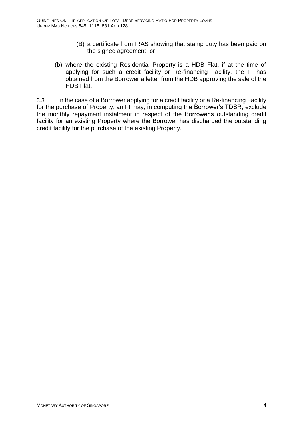- (B) a certificate from IRAS showing that stamp duty has been paid on the signed agreement; or
- (b) where the existing Residential Property is a HDB Flat, if at the time of applying for such a credit facility or Re-financing Facility, the FI has obtained from the Borrower a letter from the HDB approving the sale of the HDB Flat.

3.3 In the case of a Borrower applying for a credit facility or a Re-financing Facility for the purchase of Property, an FI may, in computing the Borrower's TDSR, exclude the monthly repayment instalment in respect of the Borrower's outstanding credit facility for an existing Property where the Borrower has discharged the outstanding credit facility for the purchase of the existing Property.